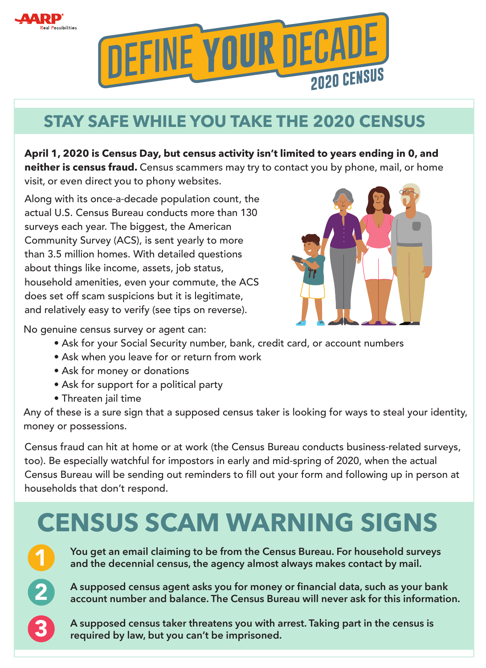



## **STAY SAFE WHILE YOU TAKE THE 2020 CENSUS**

**April 1, 2020 is Census Day, but census activity isn't limited to years ending in 0, and neither is census fraud.** Census scammers may try to contact you by phone, mail, or home visit, or even direct you to phony websites.

Along with its once‐a‐decade population count, the actual U.S. Census Bureau conducts more than 130 surveys each year. The biggest, the American Community Survey (ACS), is sent yearly to more than 3.5 million homes. With detailed questions about things like income, assets, job status, household amenities, even your commute, the ACS does set off scam suspicions but it is legitimate, and relatively easy to verify (see tips on reverse).



No genuine census survey or agent can:

- Ask for your Social Security number, bank, credit card, or account numbers
- Ask when you leave for or return from work
- Ask for money or donations
- Ask for support for a political party
- Threaten jail time

Any of these is a sure sign that a supposed census taker is looking for ways to steal your identity, money or possessions.

Census fraud can hit at home or at work (the Census Bureau conducts business-related surveys, too). Be especially watchful for impostors in early and mid‐spring of 2020, when the actual Census Bureau will be sending out reminders to fill out your form and following up in person at households that don't respond.

## **CENSUS SCAM WARNING SIGNS**



2

3

**You get an email claiming to be from the Census Bureau. For household surveys and the decennial census, the agency almost always makes contact by mail.**

**A supposed census agent asks you for money or financial data, such as your bank account number and balance. The Census Bureau will never ask for this information.**

**A supposed census taker threatens you with arrest. Taking part in the census is required by law, but you can't be imprisoned.**